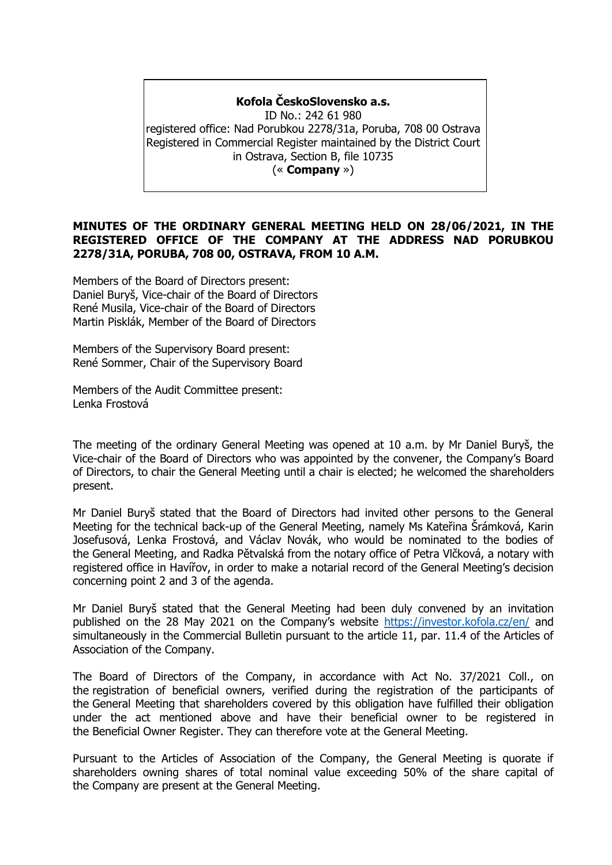#### **Kofola ČeskoSlovensko a.s.**

ID No.: 242 61 980 registered office: Nad Porubkou 2278/31a, Poruba, 708 00 Ostrava Registered in Commercial Register maintained by the District Court in Ostrava, Section B, file 10735 (« **Company** »)

# **MINUTES OF THE ORDINARY GENERAL MEETING HELD ON 28/06/2021, IN THE REGISTERED OFFICE OF THE COMPANY AT THE ADDRESS NAD PORUBKOU 2278/31A, PORUBA, 708 00, OSTRAVA, FROM 10 A.M.**

Members of the Board of Directors present: Daniel Buryš, Vice-chair of the Board of Directors René Musila, Vice-chair of the Board of Directors Martin Pisklák, Member of the Board of Directors

Members of the Supervisory Board present: René Sommer, Chair of the Supervisory Board

Members of the Audit Committee present: Lenka Frostová

The meeting of the ordinary General Meeting was opened at 10 a.m. by Mr Daniel Buryš, the Vice-chair of the Board of Directors who was appointed by the convener, the Company's Board of Directors, to chair the General Meeting until a chair is elected; he welcomed the shareholders present.

Mr Daniel Buryš stated that the Board of Directors had invited other persons to the General Meeting for the technical back-up of the General Meeting, namely Ms Kateřina Šrámková, Karin Josefusová, Lenka Frostová, and Václav Novák, who would be nominated to the bodies of the General Meeting, and Radka Pětvalská from the notary office of Petra Vlčková, a notary with registered office in Havířov, in order to make a notarial record of the General Meeting's decision concerning point 2 and 3 of the agenda.

Mr Daniel Buryš stated that the General Meeting had been duly convened by an invitation published on the 28 May 2021 on the Company's website <https://investor.kofola.cz/en/> and simultaneously in the Commercial Bulletin pursuant to the article 11, par. 11.4 of the Articles of Association of the Company.

The Board of Directors of the Company, in accordance with Act No. 37/2021 Coll., on the registration of beneficial owners, verified during the registration of the participants of the General Meeting that shareholders covered by this obligation have fulfilled their obligation under the act mentioned above and have their beneficial owner to be registered in the Beneficial Owner Register. They can therefore vote at the General Meeting.

Pursuant to the Articles of Association of the Company, the General Meeting is quorate if shareholders owning shares of total nominal value exceeding 50% of the share capital of the Company are present at the General Meeting.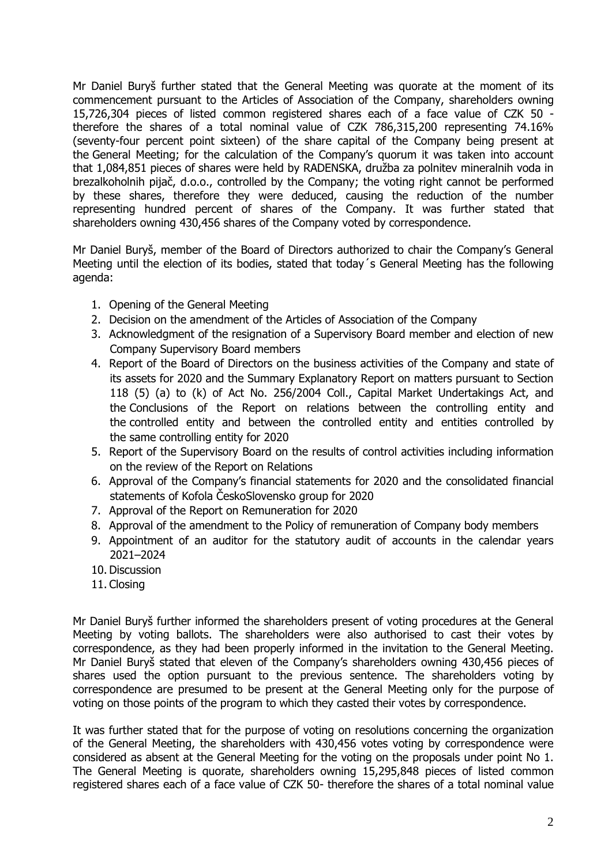Mr Daniel Buryš further stated that the General Meeting was quorate at the moment of its commencement pursuant to the Articles of Association of the Company, shareholders owning 15,726,304 pieces of listed common registered shares each of a face value of CZK 50 therefore the shares of a total nominal value of CZK 786,315,200 representing 74.16% (seventy-four percent point sixteen) of the share capital of the Company being present at the General Meeting; for the calculation of the Company's quorum it was taken into account that 1,084,851 pieces of shares were held by RADENSKA, družba za polnitev mineralnih voda in brezalkoholnih pijač, d.o.o., controlled by the Company; the voting right cannot be performed by these shares, therefore they were deduced, causing the reduction of the number representing hundred percent of shares of the Company. It was further stated that shareholders owning 430,456 shares of the Company voted by correspondence.

Mr Daniel Buryš, member of the Board of Directors authorized to chair the Company's General Meeting until the election of its bodies, stated that today´s General Meeting has the following agenda:

- 1. Opening of the General Meeting
- 2. Decision on the amendment of the Articles of Association of the Company
- 3. Acknowledgment of the resignation of a Supervisory Board member and election of new Company Supervisory Board members
- 4. Report of the Board of Directors on the business activities of the Company and state of its assets for 2020 and the Summary Explanatory Report on matters pursuant to Section 118 (5) (a) to (k) of Act No. 256/2004 Coll., Capital Market Undertakings Act, and the Conclusions of the Report on relations between the controlling entity and the controlled entity and between the controlled entity and entities controlled by the same controlling entity for 2020
- 5. Report of the Supervisory Board on the results of control activities including information on the review of the Report on Relations
- 6. Approval of the Company's financial statements for 2020 and the consolidated financial statements of Kofola ČeskoSlovensko group for 2020
- 7. Approval of the Report on Remuneration for 2020
- 8. Approval of the amendment to the Policy of remuneration of Company body members
- 9. Appointment of an auditor for the statutory audit of accounts in the calendar years 2021–2024
- 10. Discussion
- 11. Closing

Mr Daniel Buryš further informed the shareholders present of voting procedures at the General Meeting by voting ballots. The shareholders were also authorised to cast their votes by correspondence, as they had been properly informed in the invitation to the General Meeting. Mr Daniel Buryš stated that eleven of the Company's shareholders owning 430,456 pieces of shares used the option pursuant to the previous sentence. The shareholders voting by correspondence are presumed to be present at the General Meeting only for the purpose of voting on those points of the program to which they casted their votes by correspondence.

It was further stated that for the purpose of voting on resolutions concerning the organization of the General Meeting, the shareholders with 430,456 votes voting by correspondence were considered as absent at the General Meeting for the voting on the proposals under point No 1. The General Meeting is quorate, shareholders owning 15,295,848 pieces of listed common registered shares each of a face value of CZK 50- therefore the shares of a total nominal value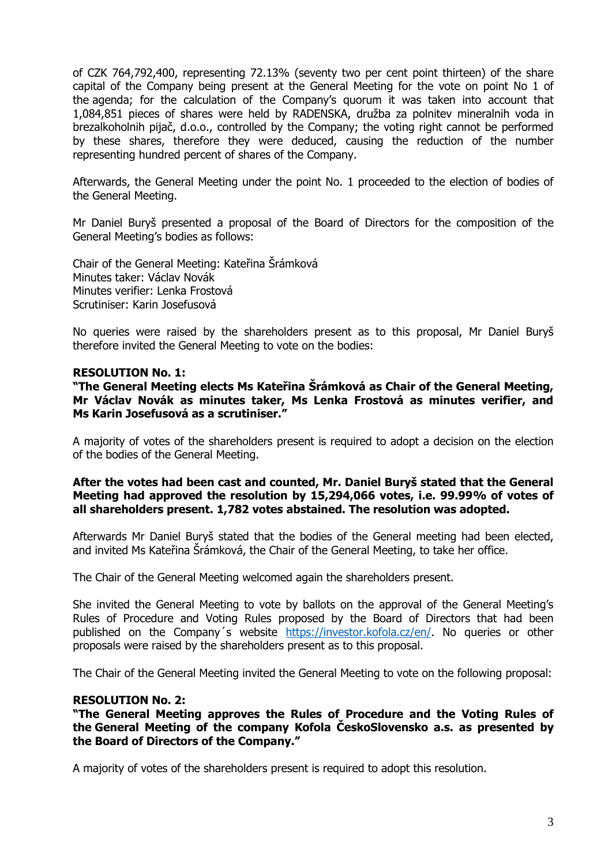of CZK 764,792,400, representing 72.13% (seventy two per cent point thirteen) of the share capital of the Company being present at the General Meeting for the vote on point No 1 of the agenda; for the calculation of the Company's quorum it was taken into account that 1,084,851 pieces of shares were held by RADENSKA, družba za polnitev mineralnih voda in brezalkoholnih pijač, d.o.o., controlled by the Company; the voting right cannot be performed by these shares, therefore they were deduced, causing the reduction of the number representing hundred percent of shares of the Company.

Afterwards, the General Meeting under the point No. 1 proceeded to the election of bodies of the General Meeting.

Mr Daniel Buryš presented a proposal of the Board of Directors for the composition of the General Meeting's bodies as follows:

Chair of the General Meeting: Kateřina Šrámková Minutes taker: Václav Novák Minutes verifier: Lenka Frostová Scrutiniser: Karin Josefusová

No queries were raised by the shareholders present as to this proposal, Mr Daniel Buryš therefore invited the General Meeting to vote on the bodies:

#### **RESOLUTION No. 1:**

**"The General Meeting elects Ms Kateřina Šrámková as Chair of the General Meeting, Mr Václav Novák as minutes taker, Ms Lenka Frostová as minutes verifier, and Ms Karin Josefusová as a scrutiniser."**

A majority of votes of the shareholders present is required to adopt a decision on the election of the bodies of the General Meeting.

#### **After the votes had been cast and counted, Mr. Daniel Buryš stated that the General Meeting had approved the resolution by 15,294,066 votes, i.e. 99.99% of votes of all shareholders present. 1,782 votes abstained. The resolution was adopted.**

Afterwards Mr Daniel Buryš stated that the bodies of the General meeting had been elected, and invited Ms Kateřina Šrámková, the Chair of the General Meeting, to take her office.

The Chair of the General Meeting welcomed again the shareholders present.

She invited the General Meeting to vote by ballots on the approval of the General Meeting's Rules of Procedure and Voting Rules proposed by the Board of Directors that had been published on the Company´s website [https://investor.kofola.cz/en/.](https://investor.kofola.cz/en/) No queries or other proposals were raised by the shareholders present as to this proposal.

The Chair of the General Meeting invited the General Meeting to vote on the following proposal:

#### **RESOLUTION No. 2:**

**"The General Meeting approves the Rules of Procedure and the Voting Rules of the General Meeting of the company Kofola ČeskoSlovensko a.s. as presented by the Board of Directors of the Company."**

A majority of votes of the shareholders present is required to adopt this resolution.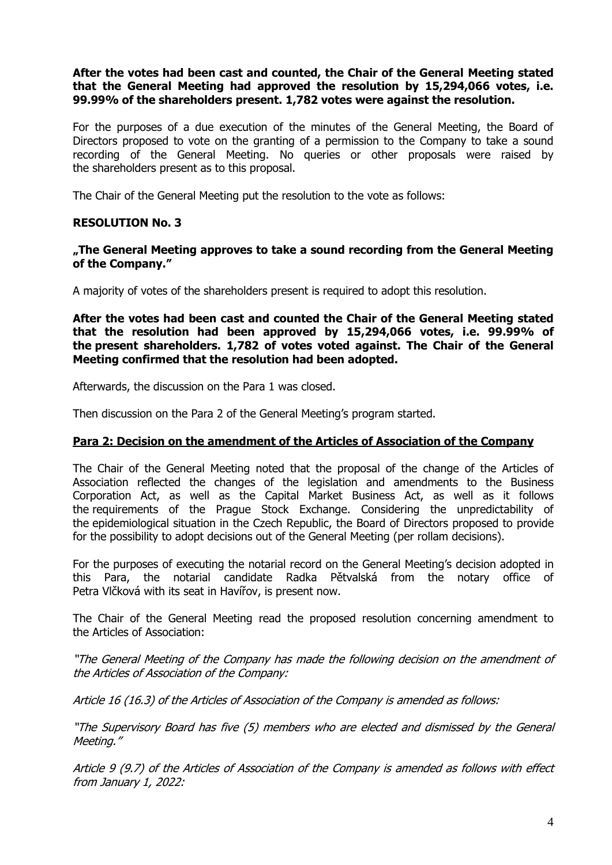## **After the votes had been cast and counted, the Chair of the General Meeting stated that the General Meeting had approved the resolution by 15,294,066 votes, i.e. 99.99% of the shareholders present. 1,782 votes were against the resolution.**

For the purposes of a due execution of the minutes of the General Meeting, the Board of Directors proposed to vote on the granting of a permission to the Company to take a sound recording of the General Meeting. No queries or other proposals were raised by the shareholders present as to this proposal.

The Chair of the General Meeting put the resolution to the vote as follows:

# **RESOLUTION No. 3**

## **"The General Meeting approves to take a sound recording from the General Meeting of the Company."**

A majority of votes of the shareholders present is required to adopt this resolution.

**After the votes had been cast and counted the Chair of the General Meeting stated that the resolution had been approved by 15,294,066 votes, i.e. 99.99% of the present shareholders. 1,782 of votes voted against. The Chair of the General Meeting confirmed that the resolution had been adopted.**

Afterwards, the discussion on the Para 1 was closed.

Then discussion on the Para 2 of the General Meeting's program started.

#### **Para 2: Decision on the amendment of the Articles of Association of the Company**

The Chair of the General Meeting noted that the proposal of the change of the Articles of Association reflected the changes of the legislation and amendments to the Business Corporation Act, as well as the Capital Market Business Act, as well as it follows the requirements of the Prague Stock Exchange. Considering the unpredictability of the epidemiological situation in the Czech Republic, the Board of Directors proposed to provide for the possibility to adopt decisions out of the General Meeting (per rollam decisions).

For the purposes of executing the notarial record on the General Meeting's decision adopted in this Para, the notarial candidate Radka Pětvalská from the notary office of Petra Vlčková with its seat in Havířov, is present now.

The Chair of the General Meeting read the proposed resolution concerning amendment to the Articles of Association:

"The General Meeting of the Company has made the following decision on the amendment of the Articles of Association of the Company:

Article 16 (16.3) of the Articles of Association of the Company is amended as follows:

"The Supervisory Board has five (5) members who are elected and dismissed by the General Meeting."

Article 9 (9.7) of the Articles of Association of the Company is amended as follows with effect from January 1, 2022: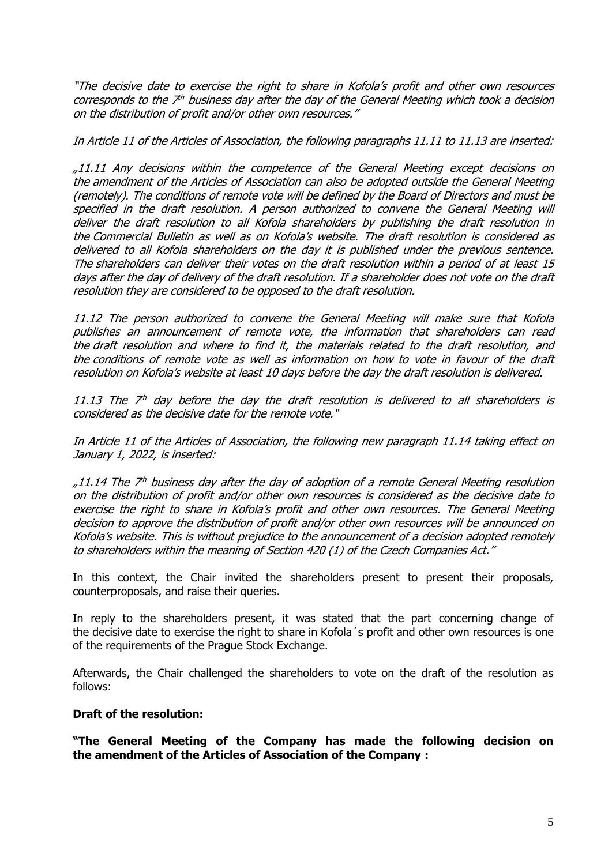"The decisive date to exercise the right to share in Kofola's profit and other own resources corresponds to the  $7<sup>th</sup>$  business day after the day of the General Meeting which took a decision on the distribution of profit and/or other own resources."

In Article 11 of the Articles of Association, the following paragraphs 11.11 to 11.13 are inserted:

"11.11 Any decisions within the competence of the General Meeting except decisions on the amendment of the Articles of Association can also be adopted outside the General Meeting (remotely). The conditions of remote vote will be defined by the Board of Directors and must be specified in the draft resolution. A person authorized to convene the General Meeting will deliver the draft resolution to all Kofola shareholders by publishing the draft resolution in the Commercial Bulletin as well as on Kofola's website. The draft resolution is considered as delivered to all Kofola shareholders on the day it is published under the previous sentence. The shareholders can deliver their votes on the draft resolution within a period of at least 15 days after the day of delivery of the draft resolution. If a shareholder does not vote on the draft resolution they are considered to be opposed to the draft resolution.

11.12 The person authorized to convene the General Meeting will make sure that Kofola publishes an announcement of remote vote, the information that shareholders can read the draft resolution and where to find it, the materials related to the draft resolution, and the conditions of remote vote as well as information on how to vote in favour of the draft resolution on Kofola's website at least 10 days before the day the draft resolution is delivered.

11.13 The  $\vec{\tau}^{\text{\tiny{th}}}$  day before the day the draft resolution is delivered to all shareholders is considered as the decisive date for the remote vote."

In Article 11 of the Articles of Association, the following new paragraph 11.14 taking effect on January 1, 2022, is inserted:

"11.14 The 7<sup>th</sup> business day after the day of adoption of a remote General Meeting resolution on the distribution of profit and/or other own resources is considered as the decisive date to exercise the right to share in Kofola's profit and other own resources. The General Meeting decision to approve the distribution of profit and/or other own resources will be announced on Kofola's website. This is without prejudice to the announcement of a decision adopted remotely to shareholders within the meaning of Section 420 (1) of the Czech Companies Act."

In this context, the Chair invited the shareholders present to present their proposals, counterproposals, and raise their queries.

In reply to the shareholders present, it was stated that the part concerning change of the decisive date to exercise the right to share in Kofola´s profit and other own resources is one of the requirements of the Prague Stock Exchange.

Afterwards, the Chair challenged the shareholders to vote on the draft of the resolution as follows:

# **Draft of the resolution:**

**"The General Meeting of the Company has made the following decision on the amendment of the Articles of Association of the Company :**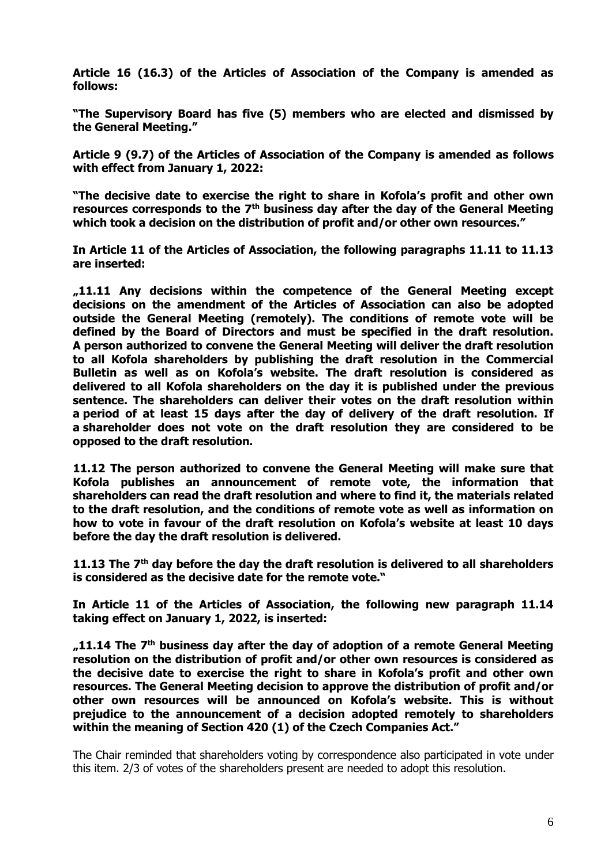**Article 16 (16.3) of the Articles of Association of the Company is amended as follows:**

**"The Supervisory Board has five (5) members who are elected and dismissed by the General Meeting."**

**Article 9 (9.7) of the Articles of Association of the Company is amended as follows with effect from January 1, 2022:**

**"The decisive date to exercise the right to share in Kofola's profit and other own resources corresponds to the 7th business day after the day of the General Meeting which took a decision on the distribution of profit and/or other own resources."**

**In Article 11 of the Articles of Association, the following paragraphs 11.11 to 11.13 are inserted:** 

**"11.11 Any decisions within the competence of the General Meeting except decisions on the amendment of the Articles of Association can also be adopted outside the General Meeting (remotely). The conditions of remote vote will be defined by the Board of Directors and must be specified in the draft resolution. A person authorized to convene the General Meeting will deliver the draft resolution to all Kofola shareholders by publishing the draft resolution in the Commercial Bulletin as well as on Kofola's website. The draft resolution is considered as delivered to all Kofola shareholders on the day it is published under the previous sentence. The shareholders can deliver their votes on the draft resolution within a period of at least 15 days after the day of delivery of the draft resolution. If a shareholder does not vote on the draft resolution they are considered to be opposed to the draft resolution.**

**11.12 The person authorized to convene the General Meeting will make sure that Kofola publishes an announcement of remote vote, the information that shareholders can read the draft resolution and where to find it, the materials related to the draft resolution, and the conditions of remote vote as well as information on how to vote in favour of the draft resolution on Kofola's website at least 10 days before the day the draft resolution is delivered.**

**11.13 The 7th day before the day the draft resolution is delivered to all shareholders is considered as the decisive date for the remote vote."** 

**In Article 11 of the Articles of Association, the following new paragraph 11.14 taking effect on January 1, 2022, is inserted:** 

**"11.14 The 7th business day after the day of adoption of a remote General Meeting resolution on the distribution of profit and/or other own resources is considered as the decisive date to exercise the right to share in Kofola's profit and other own resources. The General Meeting decision to approve the distribution of profit and/or other own resources will be announced on Kofola's website. This is without prejudice to the announcement of a decision adopted remotely to shareholders within the meaning of Section 420 (1) of the Czech Companies Act."**

The Chair reminded that shareholders voting by correspondence also participated in vote under this item. 2/3 of votes of the shareholders present are needed to adopt this resolution.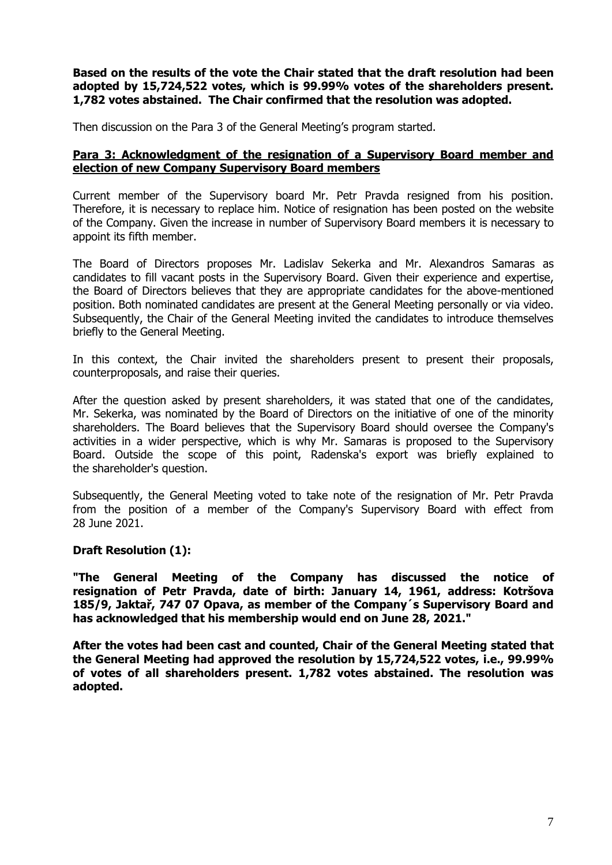# **Based on the results of the vote the Chair stated that the draft resolution had been adopted by 15,724,522 votes, which is 99.99% votes of the shareholders present. 1,782 votes abstained. The Chair confirmed that the resolution was adopted.**

Then discussion on the Para 3 of the General Meeting's program started.

# **Para 3: Acknowledgment of the resignation of a Supervisory Board member and election of new Company Supervisory Board members**

Current member of the Supervisory board Mr. Petr Pravda resigned from his position. Therefore, it is necessary to replace him. Notice of resignation has been posted on the website of the Company. Given the increase in number of Supervisory Board members it is necessary to appoint its fifth member.

The Board of Directors proposes Mr. Ladislav Sekerka and Mr. Alexandros Samaras as candidates to fill vacant posts in the Supervisory Board. Given their experience and expertise, the Board of Directors believes that they are appropriate candidates for the above-mentioned position. Both nominated candidates are present at the General Meeting personally or via video. Subsequently, the Chair of the General Meeting invited the candidates to introduce themselves briefly to the General Meeting.

In this context, the Chair invited the shareholders present to present their proposals, counterproposals, and raise their queries.

After the question asked by present shareholders, it was stated that one of the candidates, Mr. Sekerka, was nominated by the Board of Directors on the initiative of one of the minority shareholders. The Board believes that the Supervisory Board should oversee the Company's activities in a wider perspective, which is why Mr. Samaras is proposed to the Supervisory Board. Outside the scope of this point, Radenska's export was briefly explained to the shareholder's question.

Subsequently, the General Meeting voted to take note of the resignation of Mr. Petr Pravda from the position of a member of the Company's Supervisory Board with effect from 28 June 2021.

# **Draft Resolution (1):**

**"The General Meeting of the Company has discussed the notice of resignation of Petr Pravda, date of birth: January 14, 1961, address: Kotršova 185/9, Jaktař, 747 07 Opava, as member of the Company´s Supervisory Board and has acknowledged that his membership would end on June 28, 2021."**

**After the votes had been cast and counted, Chair of the General Meeting stated that the General Meeting had approved the resolution by 15,724,522 votes, i.e., 99.99% of votes of all shareholders present. 1,782 votes abstained. The resolution was adopted.**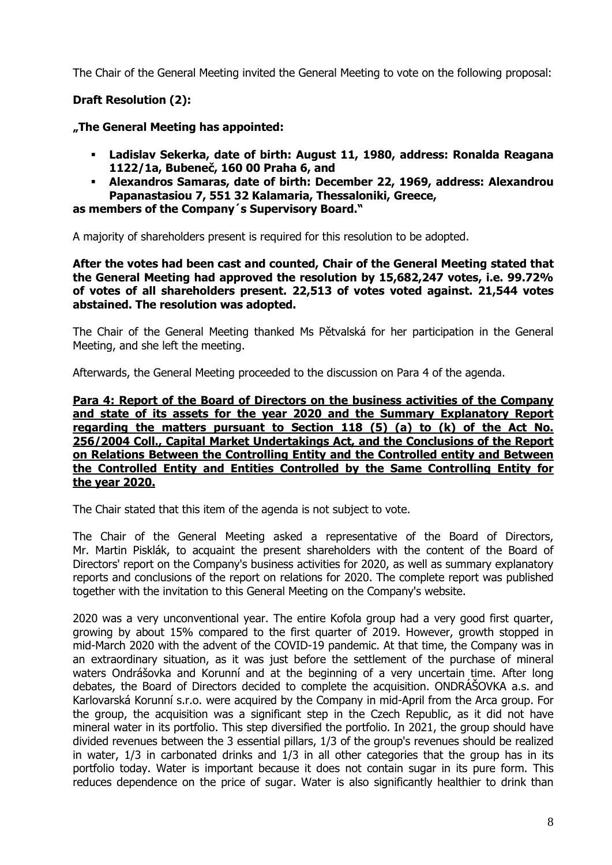The Chair of the General Meeting invited the General Meeting to vote on the following proposal:

# **Draft Resolution (2):**

**"The General Meeting has appointed:**

- **Ladislav Sekerka, date of birth: August 11, 1980, address: Ronalda Reagana 1122/1a, Bubeneč, 160 00 Praha 6, and**
- **Alexandros Samaras, date of birth: December 22, 1969, address: Alexandrou Papanastasiou 7, 551 32 Kalamaria, Thessaloniki, Greece,**

**as members of the Company´s Supervisory Board."**

A majority of shareholders present is required for this resolution to be adopted.

**After the votes had been cast and counted, Chair of the General Meeting stated that the General Meeting had approved the resolution by 15,682,247 votes, i.e. 99.72% of votes of all shareholders present. 22,513 of votes voted against. 21,544 votes abstained. The resolution was adopted.**

The Chair of the General Meeting thanked Ms Pětvalská for her participation in the General Meeting, and she left the meeting.

Afterwards, the General Meeting proceeded to the discussion on Para 4 of the agenda.

**Para 4: Report of the Board of Directors on the business activities of the Company and state of its assets for the year 2020 and the Summary Explanatory Report regarding the matters pursuant to Section 118 (5) (a) to (k) of the Act No. 256/2004 Coll., Capital Market Undertakings Act, and the Conclusions of the Report on Relations Between the Controlling Entity and the Controlled entity and Between the Controlled Entity and Entities Controlled by the Same Controlling Entity for the year 2020.**

The Chair stated that this item of the agenda is not subject to vote.

The Chair of the General Meeting asked a representative of the Board of Directors, Mr. Martin Pisklák, to acquaint the present shareholders with the content of the Board of Directors' report on the Company's business activities for 2020, as well as summary explanatory reports and conclusions of the report on relations for 2020. The complete report was published together with the invitation to this General Meeting on the Company's website.

2020 was a very unconventional year. The entire Kofola group had a very good first quarter, growing by about 15% compared to the first quarter of 2019. However, growth stopped in mid-March 2020 with the advent of the COVID-19 pandemic. At that time, the Company was in an extraordinary situation, as it was just before the settlement of the purchase of mineral waters Ondrášovka and Korunní and at the beginning of a very uncertain time. After long debates, the Board of Directors decided to complete the acquisition. ONDRÁŠOVKA a.s. and Karlovarská Korunní s.r.o. were acquired by the Company in mid-April from the Arca group. For the group, the acquisition was a significant step in the Czech Republic, as it did not have mineral water in its portfolio. This step diversified the portfolio. In 2021, the group should have divided revenues between the 3 essential pillars, 1/3 of the group's revenues should be realized in water, 1/3 in carbonated drinks and 1/3 in all other categories that the group has in its portfolio today. Water is important because it does not contain sugar in its pure form. This reduces dependence on the price of sugar. Water is also significantly healthier to drink than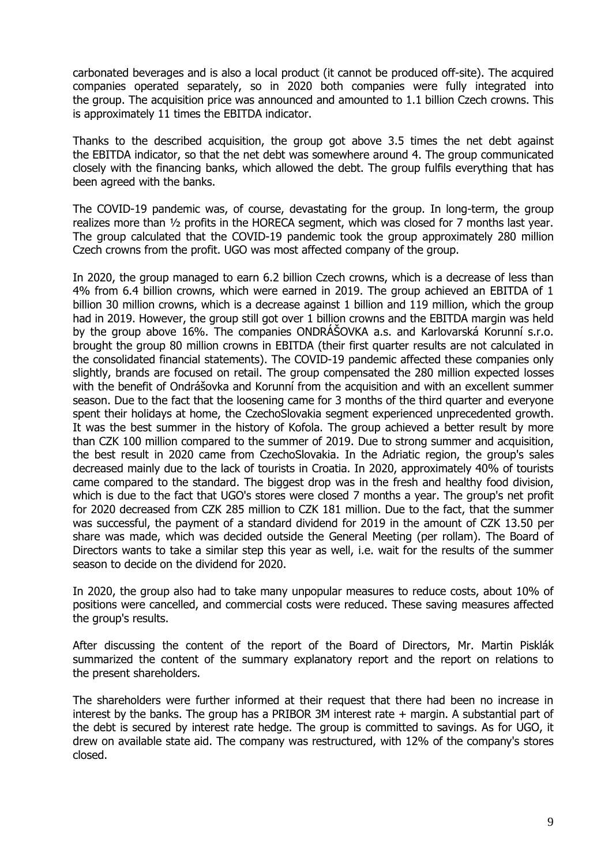carbonated beverages and is also a local product (it cannot be produced off-site). The acquired companies operated separately, so in 2020 both companies were fully integrated into the group. The acquisition price was announced and amounted to 1.1 billion Czech crowns. This is approximately 11 times the EBITDA indicator.

Thanks to the described acquisition, the group got above 3.5 times the net debt against the EBITDA indicator, so that the net debt was somewhere around 4. The group communicated closely with the financing banks, which allowed the debt. The group fulfils everything that has been agreed with the banks.

The COVID-19 pandemic was, of course, devastating for the group. In long-term, the group realizes more than ½ profits in the HORECA segment, which was closed for 7 months last year. The group calculated that the COVID-19 pandemic took the group approximately 280 million Czech crowns from the profit. UGO was most affected company of the group.

In 2020, the group managed to earn 6.2 billion Czech crowns, which is a decrease of less than 4% from 6.4 billion crowns, which were earned in 2019. The group achieved an EBITDA of 1 billion 30 million crowns, which is a decrease against 1 billion and 119 million, which the group had in 2019. However, the group still got over 1 billion crowns and the EBITDA margin was held by the group above 16%. The companies ONDRÁŠOVKA a.s. and Karlovarská Korunní s.r.o. brought the group 80 million crowns in EBITDA (their first quarter results are not calculated in the consolidated financial statements). The COVID-19 pandemic affected these companies only slightly, brands are focused on retail. The group compensated the 280 million expected losses with the benefit of Ondrášovka and Korunní from the acquisition and with an excellent summer season. Due to the fact that the loosening came for 3 months of the third quarter and everyone spent their holidays at home, the CzechoSlovakia segment experienced unprecedented growth. It was the best summer in the history of Kofola. The group achieved a better result by more than CZK 100 million compared to the summer of 2019. Due to strong summer and acquisition, the best result in 2020 came from CzechoSlovakia. In the Adriatic region, the group's sales decreased mainly due to the lack of tourists in Croatia. In 2020, approximately 40% of tourists came compared to the standard. The biggest drop was in the fresh and healthy food division, which is due to the fact that UGO's stores were closed 7 months a year. The group's net profit for 2020 decreased from CZK 285 million to CZK 181 million. Due to the fact, that the summer was successful, the payment of a standard dividend for 2019 in the amount of CZK 13.50 per share was made, which was decided outside the General Meeting (per rollam). The Board of Directors wants to take a similar step this year as well, i.e. wait for the results of the summer season to decide on the dividend for 2020.

In 2020, the group also had to take many unpopular measures to reduce costs, about 10% of positions were cancelled, and commercial costs were reduced. These saving measures affected the group's results.

After discussing the content of the report of the Board of Directors, Mr. Martin Pisklák summarized the content of the summary explanatory report and the report on relations to the present shareholders.

The shareholders were further informed at their request that there had been no increase in interest by the banks. The group has a PRIBOR 3M interest rate + margin. A substantial part of the debt is secured by interest rate hedge. The group is committed to savings. As for UGO, it drew on available state aid. The company was restructured, with 12% of the company's stores closed.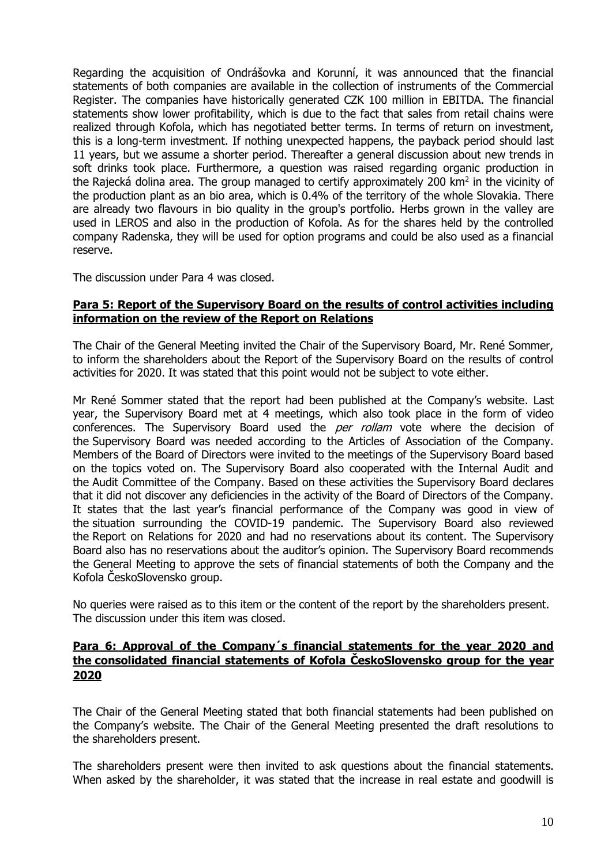Regarding the acquisition of Ondrášovka and Korunní, it was announced that the financial statements of both companies are available in the collection of instruments of the Commercial Register. The companies have historically generated CZK 100 million in EBITDA. The financial statements show lower profitability, which is due to the fact that sales from retail chains were realized through Kofola, which has negotiated better terms. In terms of return on investment, this is a long-term investment. If nothing unexpected happens, the payback period should last 11 years, but we assume a shorter period. Thereafter a general discussion about new trends in soft drinks took place. Furthermore, a question was raised regarding organic production in the Rajecká dolina area. The group managed to certify approximately 200 km<sup>2</sup> in the vicinity of the production plant as an bio area, which is 0.4% of the territory of the whole Slovakia. There are already two flavours in bio quality in the group's portfolio. Herbs grown in the valley are used in LEROS and also in the production of Kofola. As for the shares held by the controlled company Radenska, they will be used for option programs and could be also used as a financial reserve.

The discussion under Para 4 was closed.

#### **Para 5: Report of the Supervisory Board on the results of control activities including information on the review of the Report on Relations**

The Chair of the General Meeting invited the Chair of the Supervisory Board, Mr. René Sommer, to inform the shareholders about the Report of the Supervisory Board on the results of control activities for 2020. It was stated that this point would not be subject to vote either.

Mr René Sommer stated that the report had been published at the Company's website. Last year, the Supervisory Board met at 4 meetings, which also took place in the form of video conferences. The Supervisory Board used the *per rollam* vote where the decision of the Supervisory Board was needed according to the Articles of Association of the Company. Members of the Board of Directors were invited to the meetings of the Supervisory Board based on the topics voted on. The Supervisory Board also cooperated with the Internal Audit and the Audit Committee of the Company. Based on these activities the Supervisory Board declares that it did not discover any deficiencies in the activity of the Board of Directors of the Company. It states that the last year's financial performance of the Company was good in view of the situation surrounding the COVID-19 pandemic. The Supervisory Board also reviewed the Report on Relations for 2020 and had no reservations about its content. The Supervisory Board also has no reservations about the auditor's opinion. The Supervisory Board recommends the General Meeting to approve the sets of financial statements of both the Company and the Kofola ČeskoSlovensko group.

No queries were raised as to this item or the content of the report by the shareholders present. The discussion under this item was closed.

# **Para 6: Approval of the Company´s financial statements for the year 2020 and the consolidated financial statements of Kofola ČeskoSlovensko group for the year 2020**

The Chair of the General Meeting stated that both financial statements had been published on the Company's website. The Chair of the General Meeting presented the draft resolutions to the shareholders present.

The shareholders present were then invited to ask questions about the financial statements. When asked by the shareholder, it was stated that the increase in real estate and goodwill is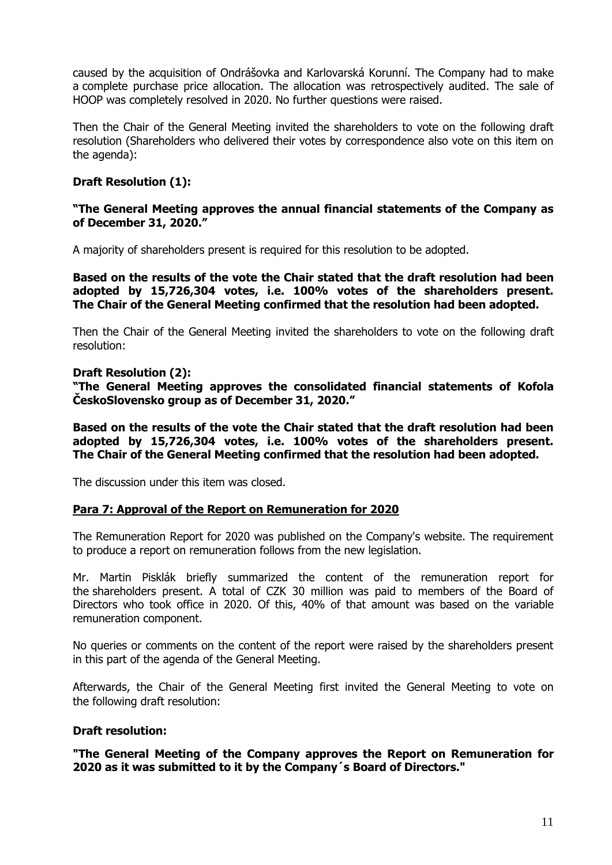caused by the acquisition of Ondrášovka and Karlovarská Korunní. The Company had to make a complete purchase price allocation. The allocation was retrospectively audited. The sale of HOOP was completely resolved in 2020. No further questions were raised.

Then the Chair of the General Meeting invited the shareholders to vote on the following draft resolution (Shareholders who delivered their votes by correspondence also vote on this item on the agenda):

# **Draft Resolution (1):**

# **"The General Meeting approves the annual financial statements of the Company as of December 31, 2020."**

A majority of shareholders present is required for this resolution to be adopted.

**Based on the results of the vote the Chair stated that the draft resolution had been adopted by 15,726,304 votes, i.e. 100% votes of the shareholders present. The Chair of the General Meeting confirmed that the resolution had been adopted.**

Then the Chair of the General Meeting invited the shareholders to vote on the following draft resolution:

#### **Draft Resolution (2):**

**"The General Meeting approves the consolidated financial statements of Kofola ČeskoSlovensko group as of December 31, 2020."**

**Based on the results of the vote the Chair stated that the draft resolution had been adopted by 15,726,304 votes, i.e. 100% votes of the shareholders present. The Chair of the General Meeting confirmed that the resolution had been adopted.**

The discussion under this item was closed.

#### **Para 7: Approval of the Report on Remuneration for 2020**

The Remuneration Report for 2020 was published on the Company's website. The requirement to produce a report on remuneration follows from the new legislation.

Mr. Martin Pisklák briefly summarized the content of the remuneration report for the shareholders present. A total of CZK 30 million was paid to members of the Board of Directors who took office in 2020. Of this, 40% of that amount was based on the variable remuneration component.

No queries or comments on the content of the report were raised by the shareholders present in this part of the agenda of the General Meeting.

Afterwards, the Chair of the General Meeting first invited the General Meeting to vote on the following draft resolution:

#### **Draft resolution:**

**"The General Meeting of the Company approves the Report on Remuneration for 2020 as it was submitted to it by the Company´s Board of Directors."**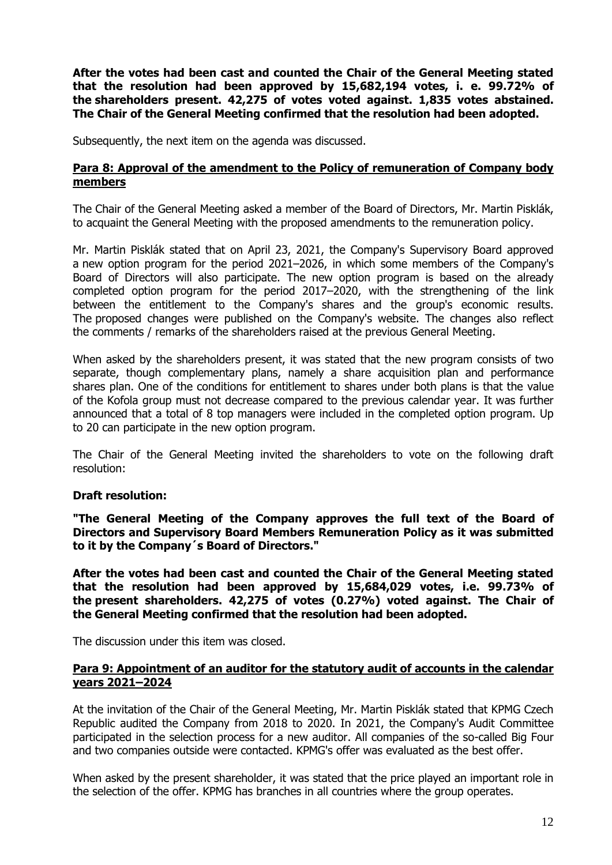**After the votes had been cast and counted the Chair of the General Meeting stated that the resolution had been approved by 15,682,194 votes, i. e. 99.72% of the shareholders present. 42,275 of votes voted against. 1,835 votes abstained. The Chair of the General Meeting confirmed that the resolution had been adopted.**

Subsequently, the next item on the agenda was discussed.

## **Para 8: Approval of the amendment to the Policy of remuneration of Company body members**

The Chair of the General Meeting asked a member of the Board of Directors, Mr. Martin Pisklák, to acquaint the General Meeting with the proposed amendments to the remuneration policy.

Mr. Martin Pisklák stated that on April 23, 2021, the Company's Supervisory Board approved a new option program for the period 2021–2026, in which some members of the Company's Board of Directors will also participate. The new option program is based on the already completed option program for the period 2017–2020, with the strengthening of the link between the entitlement to the Company's shares and the group's economic results. The proposed changes were published on the Company's website. The changes also reflect the comments / remarks of the shareholders raised at the previous General Meeting.

When asked by the shareholders present, it was stated that the new program consists of two separate, though complementary plans, namely a share acquisition plan and performance shares plan. One of the conditions for entitlement to shares under both plans is that the value of the Kofola group must not decrease compared to the previous calendar year. It was further announced that a total of 8 top managers were included in the completed option program. Up to 20 can participate in the new option program.

The Chair of the General Meeting invited the shareholders to vote on the following draft resolution:

#### **Draft resolution:**

**"The General Meeting of the Company approves the full text of the Board of Directors and Supervisory Board Members Remuneration Policy as it was submitted to it by the Company´s Board of Directors."**

**After the votes had been cast and counted the Chair of the General Meeting stated that the resolution had been approved by 15,684,029 votes, i.e. 99.73% of the present shareholders. 42,275 of votes (0.27%) voted against. The Chair of the General Meeting confirmed that the resolution had been adopted.**

The discussion under this item was closed.

#### **Para 9: Appointment of an auditor for the statutory audit of accounts in the calendar years 2021–2024**

At the invitation of the Chair of the General Meeting, Mr. Martin Pisklák stated that KPMG Czech Republic audited the Company from 2018 to 2020. In 2021, the Company's Audit Committee participated in the selection process for a new auditor. All companies of the so-called Big Four and two companies outside were contacted. KPMG's offer was evaluated as the best offer.

When asked by the present shareholder, it was stated that the price played an important role in the selection of the offer. KPMG has branches in all countries where the group operates.